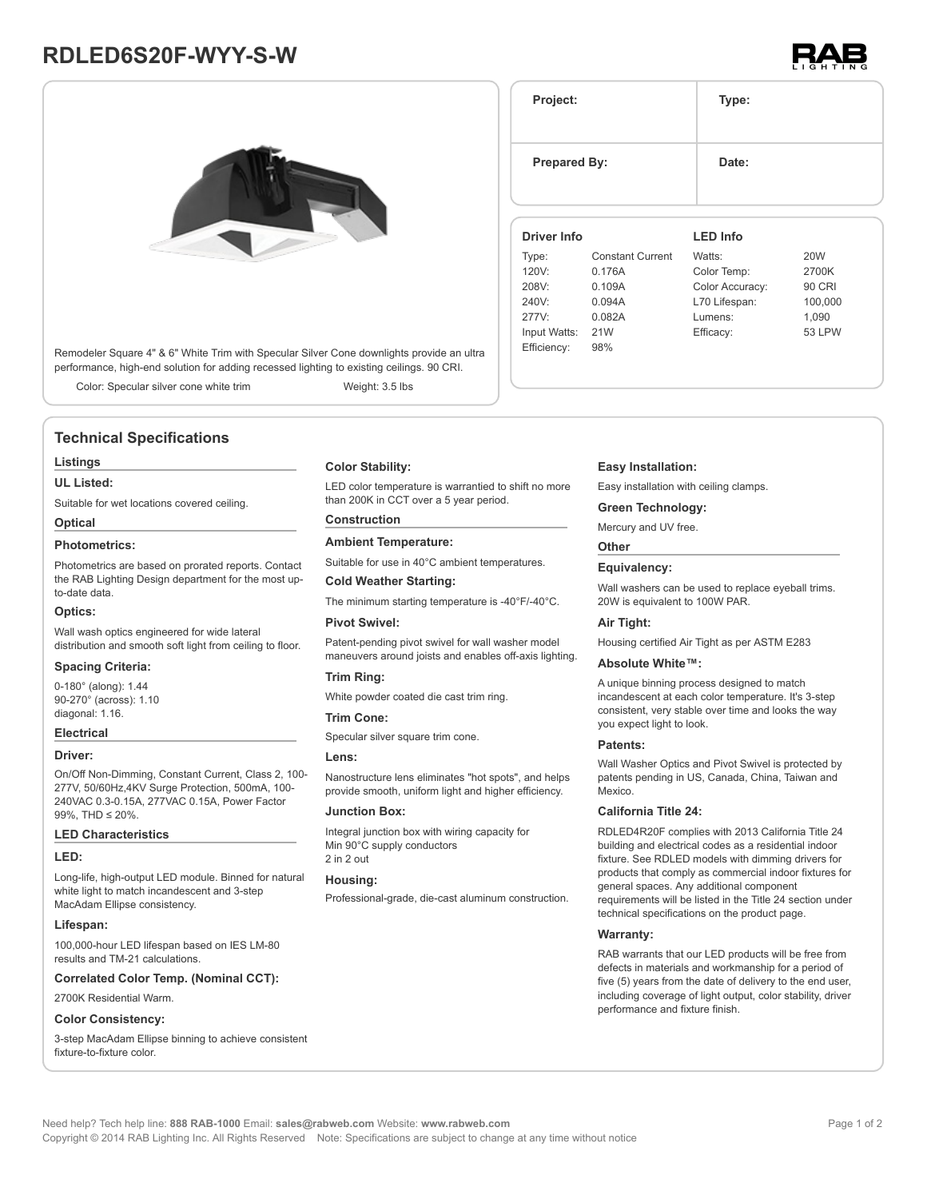# **RDLED6S20F-WYY-S-W**



Remodeler Square 4" & 6" White Trim with Specular Silver Cone downlights provide an ultra performance, high-end solution for adding recessed lighting to existing ceilings. 90 CRI.

Color: Specular silver cone white trim Weight: 3.5 lbs

# **Technical Specifications**

#### **Listings**

#### **UL Listed:**

Suitable for wet locations covered ceiling.

# **Optical**

# **Photometrics:**

Photometrics are based on prorated reports. Contact the RAB Lighting Design department for the most upto-date data.

#### **Optics:**

Wall wash optics engineered for wide lateral distribution and smooth soft light from ceiling to floor.

#### **Spacing Criteria:**

0-180° (along): 1.44 90-270° (across): 1.10 diagonal: 1.16.

#### **Electrical**

#### **Driver:**

On/Off Non-Dimming, Constant Current, Class 2, 100- 277V, 50/60Hz,4KV Surge Protection, 500mA, 100- 240VAC 0.3-0.15A, 277VAC 0.15A, Power Factor 99%, THD ≤ 20%.

#### **LED Characteristics**

#### **LED:**

Long-life, high-output LED module. Binned for natural white light to match incandescent and 3-step MacAdam Ellipse consistency.

#### **Lifespan:**

100,000-hour LED lifespan based on IES LM-80 results and TM-21 calculations.

**Correlated Color Temp. (Nominal CCT):**

# 2700K Residential Warm.

# **Color Consistency:**

3-step MacAdam Ellipse binning to achieve consistent fixture-to-fixture color.

## **Color Stability:**

LED color temperature is warrantied to shift no more than 200K in CCT over a 5 year period.

# **Construction**

**Ambient Temperature:**

Suitable for use in 40°C ambient temperatures.

## **Cold Weather Starting:**

The minimum starting temperature is -40°F/-40°C.

# **Pivot Swivel:**

Patent-pending pivot swivel for wall washer model maneuvers around joists and enables off-axis lighting.

#### **Trim Ring:**

White powder coated die cast trim ring.

#### **Trim Cone:**

Specular silver square trim cone.

#### **Lens:**

Nanostructure lens eliminates "hot spots", and helps provide smooth, uniform light and higher efficiency.

#### **Junction Box:**

Integral junction box with wiring capacity for Min 90°C supply conductors 2 in 2 out

#### **Housing:**

Professional-grade, die-cast aluminum construction.

#### **Easy Installation:**

277V: 0.082A Input Watts: 21W Efficiency: 98%

Easy installation with ceiling clamps.

#### **Green Technology:**

Mercury and UV free.

# **Other**

# **Equivalency:**

Wall washers can be used to replace eyeball trims. 20W is equivalent to 100W PAR.

#### **Air Tight:**

Housing certified Air Tight as per ASTM E283

#### **Absolute White™:**

A unique binning process designed to match incandescent at each color temperature. It's 3-step consistent, very stable over time and looks the way you expect light to look.

#### **Patents:**

Wall Washer Optics and Pivot Swivel is protected by patents pending in US, Canada, China, Taiwan and Mexico.

# **California Title 24:**

RDLED4R20F complies with 2013 California Title 24 building and electrical codes as a residential indoor fixture. See RDLED models with dimming drivers for products that comply as commercial indoor fixtures for general spaces. Any additional component requirements will be listed in the Title 24 section under technical specifications on the product page.

## **Warranty:**

RAB warrants that our LED products will be free from defects in materials and workmanship for a period of five (5) years from the date of delivery to the end user, including coverage of light output, color stability, driver performance and fixture finish.

#### **Driver Info** Type: Constant Current 120V: 0.176A 208V: 0.109A 240V: 0.094A **LED Info** Watts: 20W Color Temp: 2700K Color Accuracy: 90 CRI L70 Lifespan: 100,000

| <b>Prepared By:</b> | Date: |  |
|---------------------|-------|--|
| Project:            | Type: |  |

Lumens: 1,090 Efficacy: 53 LPW